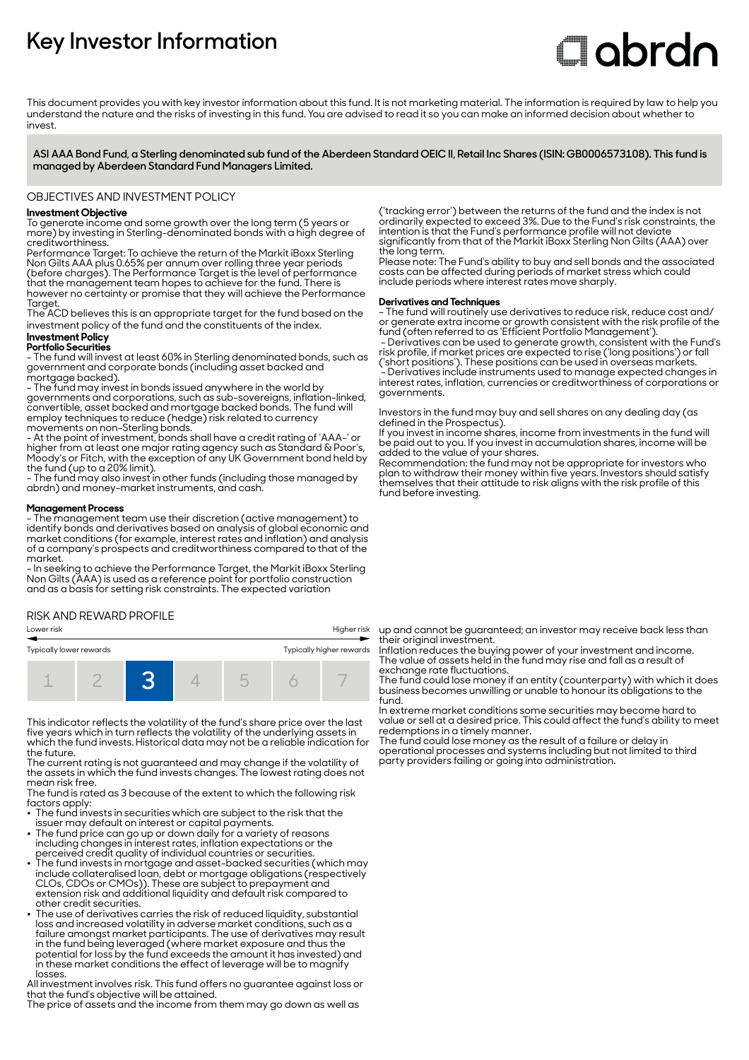# **Key Investor Information**

# **Clobrdn**

This document provides you with key investor information about this fund. It is not marketing material. The information is required by law to help you understand the nature and the risks of investing in this fund. You are advised to read it so you can make an informed decision about whether to invest

**ASI AAA Bond Fund, a Sterling denominated sub fund of the Aberdeen Standard OEIC II, Retail Inc Shares (ISIN: GB0006573108). This fund is managed by Aberdeen Standard Fund Managers Limited.**

OBJECTIVES AND INVESTMENT POLICY

## **Investment Objective**

To generate income and some growth over the long term (5 years or more) by investing in Sterling-denominated bonds with a high degree of creditworthiness.

Performance Target: To achieve the return of the Markit iBoxx Sterling Non Gilts AAA plus 0.65% per annum over rolling three year periods (before charges). The Performance Target is the level of performance that the management team hopes to achieve for the fund. There is however no certainty or promise that they will achieve the Performance **Target** 

The ACD believes this is an appropriate target for the fund based on the investment policy of the fund and the constituents of the index.

# **Investment Policy**

**Portfolio Securities** - The fund will invest at least 60% in Sterling denominated bonds, such as government and corporate bonds (including asset backed and mortgage backed).

- The fund may invest in bonds issued anywhere in the world by governments and corporations, such as sub-sovereigns, inflation-linked, convertible, asset backed and mortgage backed bonds. The fund will employ techniques to reduce (hedge) risk related to currency movements on non-Sterling bonds.

- At the point of investment, bonds shall have a credit rating of 'AAA-' or higher from at least one major rating agency such as Standard & Poor's, Moody's or Fitch, with the exception of any UK Government bond held by the fund (up to a 20% limit).

- The fund may also invest in other funds (including those managed by abrdn) and money-market instruments, and cash.

#### **Management Process**

- The management team use their discretion (active management) to identify bonds and derivatives based on analysis of global economic and market conditions (for example, interest rates and inflation) and analysis of a company's prospects and creditworthiness compared to that of the market.

- In seeking to achieve the Performance Target, the Markit iBoxx Sterling Non Gilts (AAA) is used as a reference point for portfolio construction and as a basis for setting risk constraints. The expected variation

#### RISK AND REWARD PROFILE

#### Lower risk Higher risk



This indicator reflects the volatility of the fund's share price over the last five years which in turn reflects the volatility of the underlying assets in which the fund invests. Historical data may not be a reliable indication for the future.

The current rating is not guaranteed and may change if the volatility of the assets in which the fund invests changes. The lowest rating does not mean risk free.

The fund is rated as 3 because of the extent to which the following risk factors apply: • The fund invests in securities which are subject to the risk that the

- 
- issuer may default on interest or capital payments. 2 The fund price can go up or down daily for a variety of reasons including changes in interest rates, inflation expectations or the
- perceived credit quality of individual countries or securities. 2 The fund invests in mortgage and asset-backed securities (which may include collateralised loan, debt or mortgage obligations (respectively CLOs, CDOs or CMOs)). These are subject to prepayment and extension risk and additional liquidity and default risk compared to other credit securities.
- The use of derivatives carries the risk of reduced liquidity, substantial loss and increased volatility in adverse market conditions, such as a failure amongst market participants. The use of derivatives may result in the fund being leveraged (where market exposure and thus the potential for loss by the fund exceeds the amount it has invested) and in these market conditions the effect of leverage will be to magnify losses.

All investment involves risk. This fund offers no guarantee against loss or that the fund's objective will be attained.

The price of assets and the income from them may go down as well as

('tracking error') between the returns of the fund and the index is not ordinarily expected to exceed 3%. Due to the Fund's risk constraints, the intention is that the Fund's performance profile will not deviate significantly from that of the Markit iBoxx Sterling Non Gilts (AAA) over the long term.

Please note: The Fund's ability to buy and sell bonds and the associated costs can be affected during periods of market stress which could include periods where interest rates move sharply.

## **Derivatives and Techniques**

- The fund will routinely use derivatives to reduce risk, reduce cost and/ or generate extra income or growth consistent with the risk profile of the fund (often referred to as 'Efficient Portfolio Management').

 - Derivatives can be used to generate growth, consistent with the Fund's risk profile, if market prices are expected to rise ('long positions') or fall ('short positions'). These positions can be used in overseas markets. - Derivatives include instruments used to manage expected changes in interest rates, inflation, currencies or creditworthiness of corporations or governments.

Investors in the fund may buy and sell shares on any dealing day (as defined in the Prospectus).

If you invest in income shares, income from investments in the fund will be paid out to you. If you invest in accumulation shares, income will be added to the value of your shares.

Recommendation: the fund may not be appropriate for investors who plan to withdraw their money within five years. Investors should satisfy themselves that their attitude to risk aligns with the risk profile of this fund before investing.

up and cannot be guaranteed; an investor may receive back less than their original investment.

Inflation reduces the buying power of your investment and income. The value of assets held in the fund may rise and fall as a result of exchange rate fluctuations.

The fund could lose money if an entity (counterparty) with which it does business becomes unwilling or unable to honour its obligations to the fund.

In extreme market conditions some securities may become hard to value or sell at a desired price. This could affect the fund's ability to meet redemptions in a timely manner.

The fund could lose money as the result of a failure or delay in operational processes and systems including but not limited to third party providers failing or going into administration.